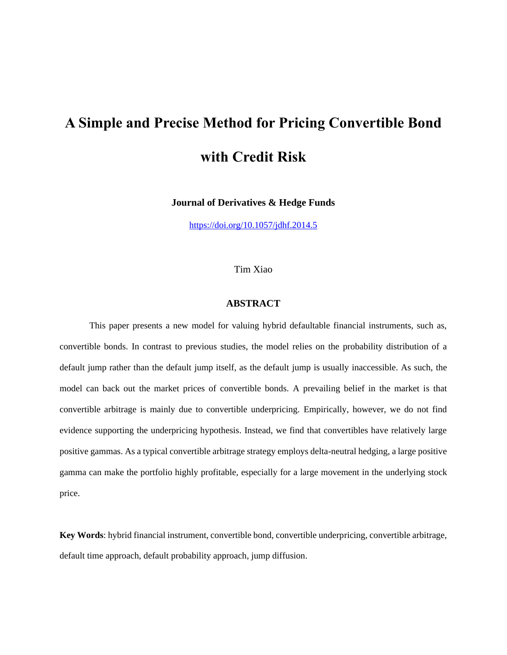# **A Simple and Precise Method for Pricing Convertible Bond with Credit Risk**

**Journal of Derivatives & Hedge Funds**

<https://doi.org/10.1057/jdhf.2014.5>

Tim Xiao

#### **ABSTRACT**

This paper presents a new model for valuing hybrid defaultable financial instruments, such as, convertible bonds. In contrast to previous studies, the model relies on the probability distribution of a default jump rather than the default jump itself, as the default jump is usually inaccessible. As such, the model can back out the market prices of convertible bonds. A prevailing belief in the market is that convertible arbitrage is mainly due to convertible underpricing. Empirically, however, we do not find evidence supporting the underpricing hypothesis. Instead, we find that convertibles have relatively large positive gammas. As a typical convertible arbitrage strategy employs delta-neutral hedging, a large positive gamma can make the portfolio highly profitable, especially for a large movement in the underlying stock price.

**Key Words**: hybrid financial instrument, convertible bond, convertible underpricing, convertible arbitrage, default time approach, default probability approach, jump diffusion.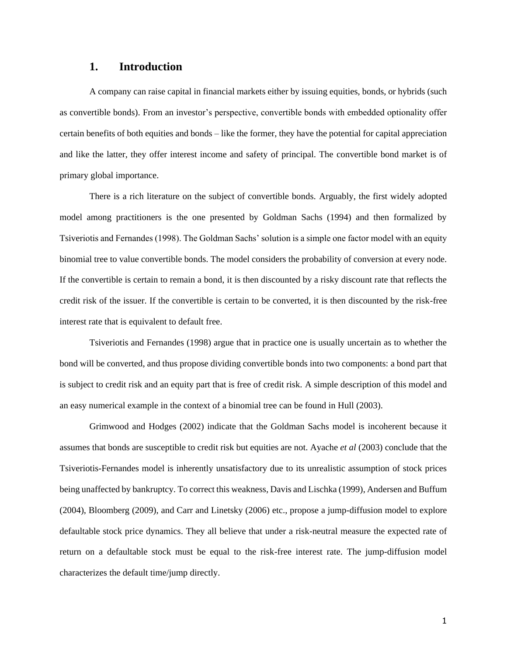# **1. Introduction**

A company can raise capital in financial markets either by issuing equities, bonds, or hybrids (such as convertible bonds). From an investor's perspective, convertible bonds with embedded optionality offer certain benefits of both equities and bonds – like the former, they have the potential for capital appreciation and like the latter, they offer interest income and safety of principal. The convertible bond market is of primary global importance.

There is a rich literature on the subject of convertible bonds. Arguably, the first widely adopted model among practitioners is the one presented by Goldman Sachs (1994) and then formalized by Tsiveriotis and Fernandes (1998). The Goldman Sachs' solution is a simple one factor model with an equity binomial tree to value convertible bonds. The model considers the probability of conversion at every node. If the convertible is certain to remain a bond, it is then discounted by a risky discount rate that reflects the credit risk of the issuer. If the convertible is certain to be converted, it is then discounted by the risk-free interest rate that is equivalent to default free.

Tsiveriotis and Fernandes (1998) argue that in practice one is usually uncertain as to whether the bond will be converted, and thus propose dividing convertible bonds into two components: a bond part that is subject to credit risk and an equity part that is free of credit risk. A simple description of this model and an easy numerical example in the context of a binomial tree can be found in Hull (2003).

Grimwood and Hodges (2002) indicate that the Goldman Sachs model is incoherent because it assumes that bonds are susceptible to credit risk but equities are not. Ayache *et al* (2003) conclude that the Tsiveriotis-Fernandes model is inherently unsatisfactory due to its unrealistic assumption of stock prices being unaffected by bankruptcy. To correct this weakness, Davis and Lischka (1999), Andersen and Buffum (2004), Bloomberg (2009), and Carr and Linetsky (2006) etc., propose a jump-diffusion model to explore defaultable stock price dynamics. They all believe that under a risk-neutral measure the expected rate of return on a defaultable stock must be equal to the risk-free interest rate. The jump-diffusion model characterizes the default time/jump directly.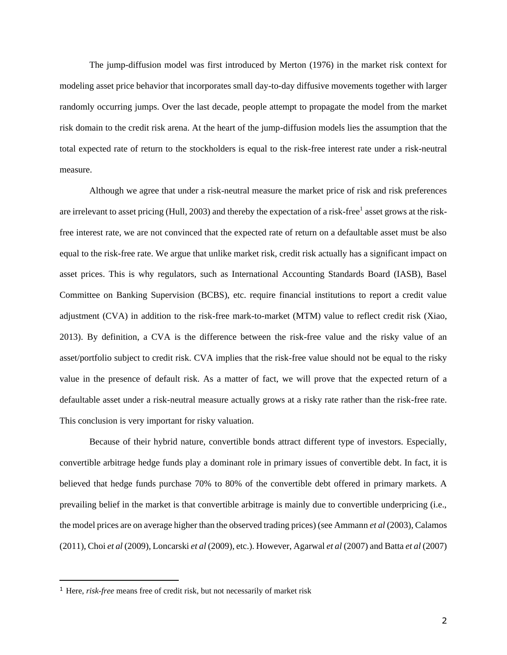The jump-diffusion model was first introduced by Merton (1976) in the market risk context for modeling asset price behavior that incorporates small day-to-day diffusive movements together with larger randomly occurring jumps. Over the last decade, people attempt to propagate the model from the market risk domain to the credit risk arena. At the heart of the jump-diffusion models lies the assumption that the total expected rate of return to the stockholders is equal to the risk-free interest rate under a risk-neutral measure.

Although we agree that under a risk-neutral measure the market price of risk and risk preferences are irrelevant to asset pricing (Hull, 2003) and thereby the expectation of a risk-free<sup>1</sup> asset grows at the riskfree interest rate, we are not convinced that the expected rate of return on a defaultable asset must be also equal to the risk-free rate. We argue that unlike market risk, credit risk actually has a significant impact on asset prices. This is why regulators, such as International Accounting Standards Board (IASB), Basel Committee on Banking Supervision (BCBS), etc. require financial institutions to report a credit value adjustment (CVA) in addition to the risk-free mark-to-market (MTM) value to reflect credit risk (Xiao, 2013). By definition, a CVA is the difference between the risk-free value and the risky value of an asset/portfolio subject to credit risk. CVA implies that the risk-free value should not be equal to the risky value in the presence of default risk. As a matter of fact, we will prove that the expected return of a defaultable asset under a risk-neutral measure actually grows at a risky rate rather than the risk-free rate. This conclusion is very important for risky valuation.

Because of their hybrid nature, convertible bonds attract different type of investors. Especially, convertible arbitrage hedge funds play a dominant role in primary issues of convertible debt. In fact, it is believed that hedge funds purchase 70% to 80% of the convertible debt offered in primary markets. A prevailing belief in the market is that convertible arbitrage is mainly due to convertible underpricing (i.e., the model prices are on average higher than the observed trading prices) (see Ammann *et al* (2003), Calamos (2011), Choi *et al* (2009), Loncarski *et al* (2009), etc.). However, Agarwal *et al* (2007) and Batta *et al* (2007)

<sup>1</sup> Here, *risk-free* means free of credit risk, but not necessarily of market risk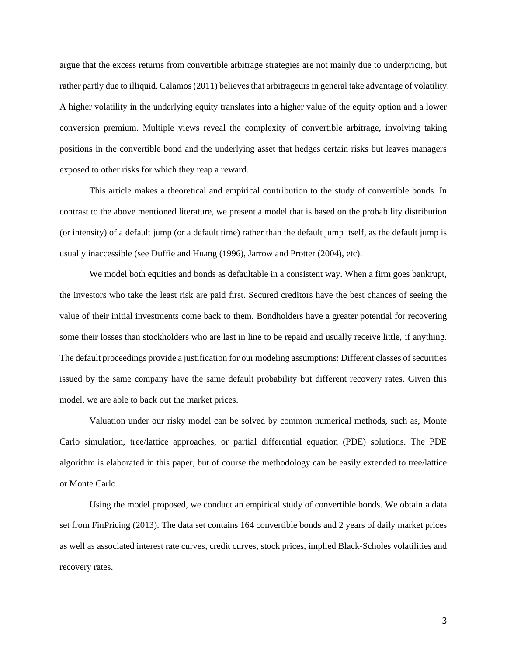argue that the excess returns from convertible arbitrage strategies are not mainly due to underpricing, but rather partly due to illiquid. Calamos (2011) believes that arbitrageurs in general take advantage of volatility. A higher volatility in the underlying equity translates into a higher value of the equity option and a lower conversion premium. Multiple views reveal the complexity of convertible arbitrage, involving taking positions in the convertible bond and the underlying asset that hedges certain risks but leaves managers exposed to other risks for which they reap a reward.

This article makes a theoretical and empirical contribution to the study of convertible bonds. In contrast to the above mentioned literature, we present a model that is based on the probability distribution (or intensity) of a default jump (or a default time) rather than the default jump itself, as the default jump is usually inaccessible (see Duffie and Huang (1996), Jarrow and Protter (2004), etc).

We model both equities and bonds as defaultable in a consistent way. When a firm goes bankrupt, the investors who take the least risk are paid first. Secured creditors have the best chances of seeing the value of their initial investments come back to them. Bondholders have a greater potential for recovering some their losses than stockholders who are last in line to be repaid and usually receive little, if anything. The default proceedings provide a justification for our modeling assumptions: Different classes of securities issued by the same company have the same default probability but different recovery rates. Given this model, we are able to back out the market prices.

Valuation under our risky model can be solved by common numerical methods, such as, Monte Carlo simulation, tree/lattice approaches, or partial differential equation (PDE) solutions. The PDE algorithm is elaborated in this paper, but of course the methodology can be easily extended to tree/lattice or Monte Carlo.

Using the model proposed, we conduct an empirical study of convertible bonds. We obtain a data set from FinPricing (2013). The data set contains 164 convertible bonds and 2 years of daily market prices as well as associated interest rate curves, credit curves, stock prices, implied Black-Scholes volatilities and recovery rates.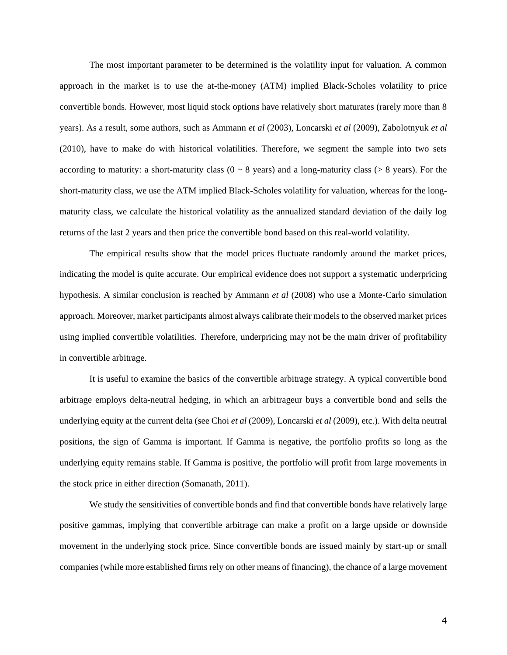The most important parameter to be determined is the volatility input for valuation. A common approach in the market is to use the at-the-money (ATM) implied Black-Scholes volatility to price convertible bonds. However, most liquid stock options have relatively short maturates (rarely more than 8 years). As a result, some authors, such as Ammann *et al* (2003), Loncarski *et al* (2009), Zabolotnyuk *et al* (2010), have to make do with historical volatilities. Therefore, we segment the sample into two sets according to maturity: a short-maturity class  $(0 \sim 8 \text{ years})$  and a long-maturity class ( $> 8 \text{ years}$ ). For the short-maturity class, we use the ATM implied Black-Scholes volatility for valuation, whereas for the longmaturity class, we calculate the historical volatility as the annualized standard deviation of the daily log returns of the last 2 years and then price the convertible bond based on this real-world volatility.

The empirical results show that the model prices fluctuate randomly around the market prices, indicating the model is quite accurate. Our empirical evidence does not support a systematic underpricing hypothesis. A similar conclusion is reached by Ammann *et al* (2008) who use a Monte-Carlo simulation approach. Moreover, market participants almost always calibrate their models to the observed market prices using implied convertible volatilities. Therefore, underpricing may not be the main driver of profitability in convertible arbitrage.

It is useful to examine the basics of the convertible arbitrage strategy. A typical convertible bond arbitrage employs delta-neutral hedging, in which an arbitrageur buys a convertible bond and sells the underlying equity at the current delta (see Choi *et al* (2009), Loncarski *et al* (2009), etc.). With delta neutral positions, the sign of Gamma is important. If Gamma is negative, the portfolio profits so long as the underlying equity remains stable. If Gamma is positive, the portfolio will profit from large movements in the stock price in either direction (Somanath, 2011).

We study the sensitivities of convertible bonds and find that convertible bonds have relatively large positive gammas, implying that convertible arbitrage can make a profit on a large upside or downside movement in the underlying stock price. Since convertible bonds are issued mainly by start-up or small companies (while more established firms rely on other means of financing), the chance of a large movement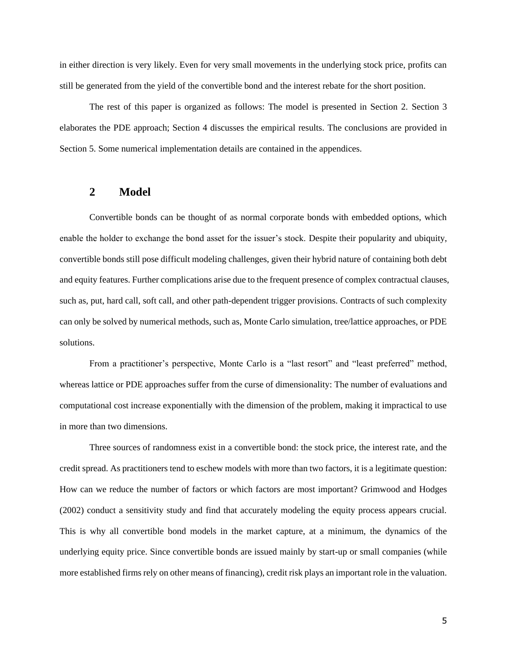in either direction is very likely. Even for very small movements in the underlying stock price, profits can still be generated from the yield of the convertible bond and the interest rebate for the short position.

The rest of this paper is organized as follows: The model is presented in Section 2. Section 3 elaborates the PDE approach; Section 4 discusses the empirical results. The conclusions are provided in Section 5. Some numerical implementation details are contained in the appendices.

# **2 Model**

Convertible bonds can be thought of as normal corporate bonds with embedded options, which enable the holder to exchange the bond asset for the issuer's stock. Despite their popularity and ubiquity, convertible bonds still pose difficult modeling challenges, given their hybrid nature of containing both debt and equity features. Further complications arise due to the frequent presence of complex contractual clauses, such as, put, hard call, soft call, and other path-dependent trigger provisions. Contracts of such complexity can only be solved by numerical methods, such as, Monte Carlo simulation, tree/lattice approaches, or PDE solutions.

From a practitioner's perspective, Monte Carlo is a "last resort" and "least preferred" method, whereas lattice or PDE approaches suffer from the curse of dimensionality: The number of evaluations and computational cost increase exponentially with the dimension of the problem, making it impractical to use in more than two dimensions.

Three sources of randomness exist in a convertible bond: the stock price, the interest rate, and the credit spread. As practitioners tend to eschew models with more than two factors, it is a legitimate question: How can we reduce the number of factors or which factors are most important? Grimwood and Hodges (2002) conduct a sensitivity study and find that accurately modeling the equity process appears crucial. This is why all convertible bond models in the market capture, at a minimum, the dynamics of the underlying equity price. Since convertible bonds are issued mainly by start-up or small companies (while more established firms rely on other means of financing), credit risk plays an important role in the valuation.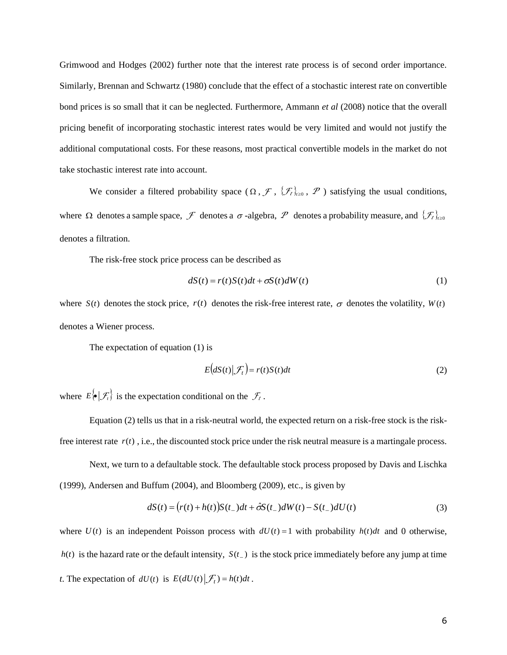Grimwood and Hodges (2002) further note that the interest rate process is of second order importance. Similarly, Brennan and Schwartz (1980) conclude that the effect of a stochastic interest rate on convertible bond prices is so small that it can be neglected. Furthermore, Ammann *et al* (2008) notice that the overall pricing benefit of incorporating stochastic interest rates would be very limited and would not justify the additional computational costs. For these reasons, most practical convertible models in the market do not take stochastic interest rate into account.

We consider a filtered probability space  $(\Omega, \mathcal{F}, \{\mathcal{F}_t\}_{t>0}$ ,  $\mathcal{P})$  satisfying the usual conditions, where  $\Omega$  denotes a sample space,  $\mathcal F$  denotes a  $\sigma$ -algebra,  $\mathcal P$  denotes a probability measure, and  $\{\mathcal F_t\}_{t>0}$ denotes a filtration.

The risk-free stock price process can be described as

$$
dS(t) = r(t)S(t)dt + \sigma S(t)dW(t)
$$
\n(1)

where  $S(t)$  denotes the stock price,  $r(t)$  denotes the risk-free interest rate,  $\sigma$  denotes the volatility,  $W(t)$ denotes a Wiener process.

The expectation of equation (1) is

$$
E\big(dS(t)\big|\mathcal{F}_t\big) = r(t)S(t)dt\tag{2}
$$

where  $E\{\cdot | \mathcal{F}_t\}$  is the expectation conditional on the  $\mathcal{F}_t$ .

Equation (2) tells us that in a risk-neutral world, the expected return on a risk-free stock is the riskfree interest rate  $r(t)$ , i.e., the discounted stock price under the risk neutral measure is a martingale process.

Next, we turn to a defaultable stock. The defaultable stock process proposed by Davis and Lischka (1999), Andersen and Buffum (2004), and Bloomberg (2009), etc., is given by

$$
dS(t) = (r(t) + h(t))S(t-)dt + \hat{\sigma}S(t-)dW(t) - S(t-)dU(t)
$$
\n(3)

where  $U(t)$  is an independent Poisson process with  $dU(t) = 1$  with probability  $h(t)dt$  and 0 otherwise,  $h(t)$  is the hazard rate or the default intensity,  $S(t_+)$  is the stock price immediately before any jump at time *t*. The expectation of  $dU(t)$  is  $E(dU(t)|\mathcal{F}_t) = h(t)dt$ .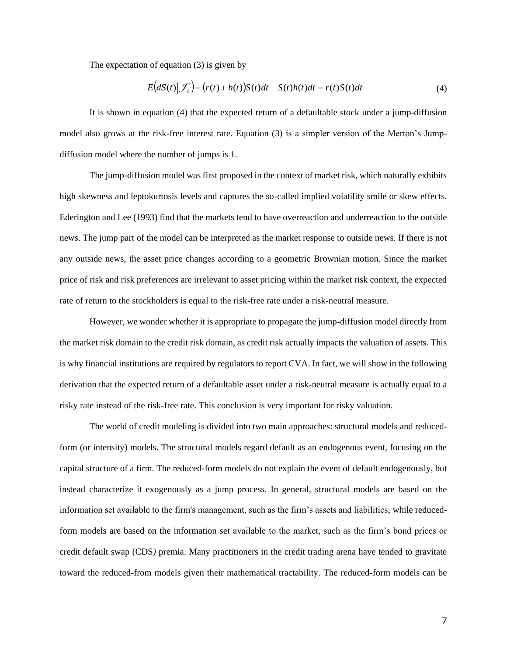The expectation of equation (3) is given by

$$
E\big(dS(t)\big|\mathcal{F}_t\big) = \big(r(t) + h(t)\big)S(t)dt - S(t)h(t)dt = r(t)S(t)dt\tag{4}
$$

It is shown in equation (4) that the expected return of a defaultable stock under a jump-diffusion model also grows at the risk-free interest rate. Equation (3) is a simpler version of the Merton's Jumpdiffusion model where the number of jumps is 1.

The jump-diffusion model was first proposed in the context of market risk, which naturally exhibits high skewness and leptokurtosis levels and captures the so-called implied volatility smile or skew effects. Ederington and Lee (1993) find that the markets tend to have overreaction and underreaction to the outside news. The jump part of the model can be interpreted as the market response to outside news. If there is not any outside news, the asset price changes according to a geometric Brownian motion. Since the market price of risk and risk preferences are irrelevant to asset pricing within the market risk context, the expected rate of return to the stockholders is equal to the risk-free rate under a risk-neutral measure.

However, we wonder whether it is appropriate to propagate the jump-diffusion model directly from the market risk domain to the credit risk domain, as credit risk actually impacts the valuation of assets. This is why financial institutions are required by regulators to report CVA. In fact, we will show in the following derivation that the expected return of a defaultable asset under a risk-neutral measure is actually equal to a risky rate instead of the risk-free rate. This conclusion is very important for risky valuation.

The world of credit modeling is divided into two main approaches: structural models and reducedform (or intensity) models. The structural models regard default as an endogenous event, focusing on the capital structure of a firm. The reduced-form models do not explain the event of default endogenously, but instead characterize it exogenously as a jump process. In general, structural models are based on the information set available to the firm's management, such as the firm's assets and liabilities; while reducedform models are based on the information set available to the market, such as the firm's bond prices or credit default swap (CDS*)* premia. Many practitioners in the credit trading arena have tended to gravitate toward the reduced-from models given their mathematical tractability. The reduced-form models can be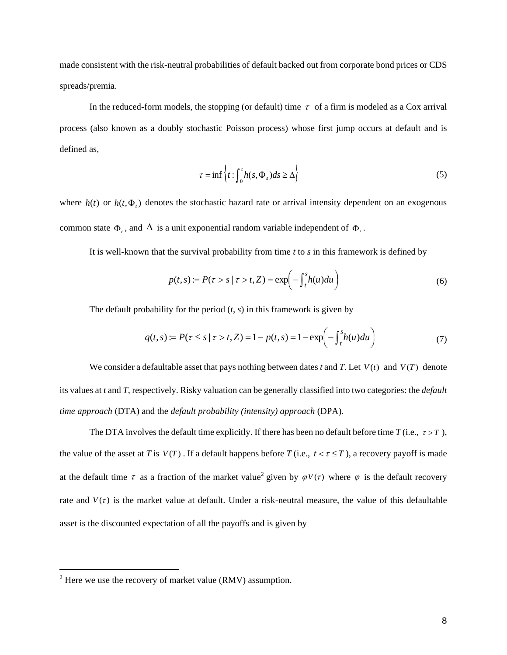made consistent with the risk-neutral probabilities of default backed out from corporate bond prices or CDS spreads/premia.

In the reduced-form models, the stopping (or default) time  $\tau$  of a firm is modeled as a Cox arrival process (also known as a doubly stochastic Poisson process) whose first jump occurs at default and is defined as,

$$
\tau = \inf \left\{ t : \int_0^t h(s, \Phi_s) ds \ge \Delta \right\} \tag{5}
$$

where  $h(t)$  or  $h(t, \Phi_t)$  denotes the stochastic hazard rate or arrival intensity dependent on an exogenous common state  $\Phi_t$ , and  $\Delta$  is a unit exponential random variable independent of  $\Phi_t$ .

It is well-known that the survival probability from time *t* to *s* in this framework is defined by

$$
p(t,s) := P(\tau > s \mid \tau > t, Z) = \exp\left(-\int_{t}^{s} h(u) du\right)
$$
(6)

The default probability for the period  $(t, s)$  in this framework is given by

$$
q(t,s) := P(\tau \le s \mid \tau > t, Z) = 1 - p(t,s) = 1 - \exp\left(-\int_t^s h(u) du\right)
$$
(7)

We consider a defaultable asset that pays nothing between dates *t* and *T*. Let  $V(t)$  and  $V(T)$  denote its values at *t* and *T*, respectively. Risky valuation can be generally classified into two categories: the *default time approach* (DTA) and the *default probability (intensity) approach* (DPA).

The DTA involves the default time explicitly. If there has been no default before time  $T$  (i.e.,  $\tau > T$ ), the value of the asset at *T* is  $V(T)$ . If a default happens before *T* (i.e.,  $t < \tau \leq T$ ), a recovery payoff is made at the default time  $\tau$  as a fraction of the market value<sup>2</sup> given by  $\varphi V(\tau)$  where  $\varphi$  is the default recovery rate and  $V(\tau)$  is the market value at default. Under a risk-neutral measure, the value of this defaultable asset is the discounted expectation of all the payoffs and is given by

 $2$  Here we use the recovery of market value (RMV) assumption.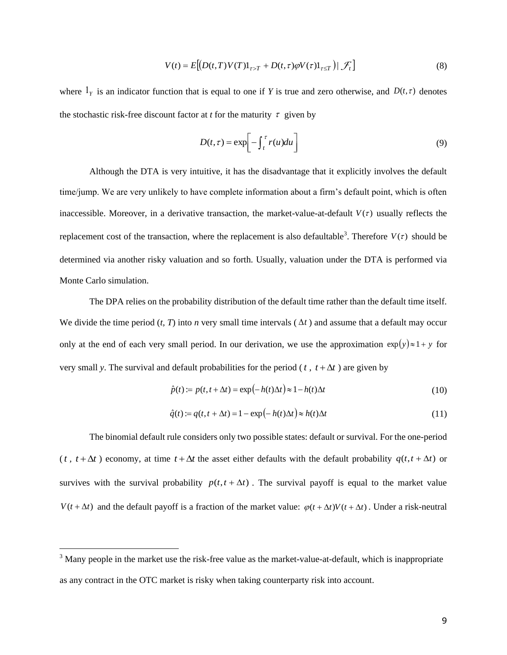$$
V(t) = E\big[(D(t,T)V(T)\mathbf{1}_{\tau>T} + D(t,\tau)\varphi V(\tau)\mathbf{1}_{\tau\leq T}\big) | \mathcal{F}_t \big] \tag{8}
$$

where  $1<sub>y</sub>$  is an indicator function that is equal to one if *Y* is true and zero otherwise, and  $D(t, \tau)$  denotes the stochastic risk-free discount factor at *t* for the maturity  $\tau$  given by

$$
D(t,\tau) = \exp\left[-\int_t^{\tau} r(u)du\right]
$$
\n(9)

Although the DTA is very intuitive, it has the disadvantage that it explicitly involves the default time/jump. We are very unlikely to have complete information about a firm's default point, which is often inaccessible. Moreover, in a derivative transaction, the market-value-at-default  $V(\tau)$  usually reflects the replacement cost of the transaction, where the replacement is also defaultable<sup>3</sup>. Therefore  $V(\tau)$  should be determined via another risky valuation and so forth. Usually, valuation under the DTA is performed via Monte Carlo simulation.

The DPA relies on the probability distribution of the default time rather than the default time itself. We divide the time period  $(t, T)$  into *n* very small time intervals  $(\Delta t)$  and assume that a default may occur only at the end of each very small period. In our derivation, we use the approximation  $\exp(y) \approx 1 + y$  for very small y. The survival and default probabilities for the period  $(t, t + \Delta t)$  are given by

$$
\hat{p}(t) := p(t, t + \Delta t) = \exp(-h(t)\Delta t) \approx 1 - h(t)\Delta t \tag{10}
$$

$$
\hat{q}(t) := q(t, t + \Delta t) = 1 - \exp(-h(t)\Delta t) \approx h(t)\Delta t \tag{11}
$$

The binomial default rule considers only two possible states: default or survival. For the one-period  $(t, t + \Delta t)$  economy, at time  $t + \Delta t$  the asset either defaults with the default probability  $q(t, t + \Delta t)$  or survives with the survival probability  $p(t, t + \Delta t)$ . The survival payoff is equal to the market value *V*( $t + \Delta t$ ) and the default payoff is a fraction of the market value:  $\varphi(t + \Delta t)V(t + \Delta t)$ . Under a risk-neutral

<sup>&</sup>lt;sup>3</sup> Many people in the market use the risk-free value as the market-value-at-default, which is inappropriate as any contract in the OTC market is risky when taking counterparty risk into account.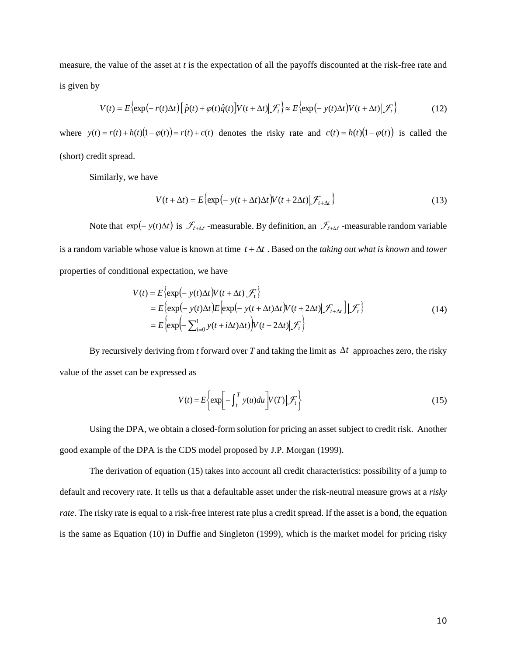measure, the value of the asset at *t* is the expectation of all the payoffs discounted at the risk-free rate and is given by

$$
V(t) = E\left\{\exp\left(-r(t)\Delta t\right)\left[\hat{p}(t) + \varphi(t)\hat{q}(t)\right]V(t + \Delta t)\middle|\mathcal{F}_t\right\} \approx E\left\{\exp\left(-y(t)\Delta t\right)V(t + \Delta t)\middle|\mathcal{F}_t\right\} \tag{12}
$$

where  $y(t) = r(t) + h(t)(1 - \varphi(t)) = r(t) + c(t)$  denotes the risky rate and  $c(t) = h(t)(1 - \varphi(t))$  is called the (short) credit spread.

Similarly, we have

$$
V(t + \Delta t) = E\left\{\exp\left(-y(t + \Delta t)\Delta t\right)V(t + 2\Delta t)\middle|\mathcal{F}_{t + \Delta t}\right\}
$$
\n(13)

Note that  $\exp(-y(t)\Delta t)$  is  $\mathcal{F}_{t+\Delta t}$  -measurable. By definition, an  $\mathcal{F}_{t+\Delta t}$  -measurable random variable is a random variable whose value is known at time  $t + \Delta t$ . Based on the *taking out what is known* and *tower* properties of conditional expectation, we have

$$
V(t) = E\{\exp(-y(t)\Delta t)V(t + \Delta t)|\mathcal{F}_t\}= E\{\exp(-y(t)\Delta t)E[\exp(-y(t + \Delta t)\Delta t)V(t + 2\Delta t)|\mathcal{F}_{t+\Delta t}]\mathcal{F}_t\}
$$
(14)  
=  $E\{\exp(-\sum_{i=0}^1 y(t + i\Delta t)\Delta t)V(t + 2\Delta t)|\mathcal{F}_t\}$ 

By recursively deriving from *t* forward over *T* and taking the limit as  $\Delta t$  approaches zero, the risky value of the asset can be expressed as

$$
V(t) = E\left\{\exp\left[-\int_{t}^{T} y(u)du\right] V(T) \middle| \mathcal{F}_{t}\right\}
$$
\n(15)

Using the DPA, we obtain a closed-form solution for pricing an asset subject to credit risk. Another good example of the DPA is the CDS model proposed by J.P. Morgan (1999).

The derivation of equation (15) takes into account all credit characteristics: possibility of a jump to default and recovery rate. It tells us that a defaultable asset under the risk-neutral measure grows at a *risky rate*. The risky rate is equal to a risk-free interest rate plus a credit spread. If the asset is a bond, the equation is the same as Equation (10) in Duffie and Singleton (1999), which is the market model for pricing risky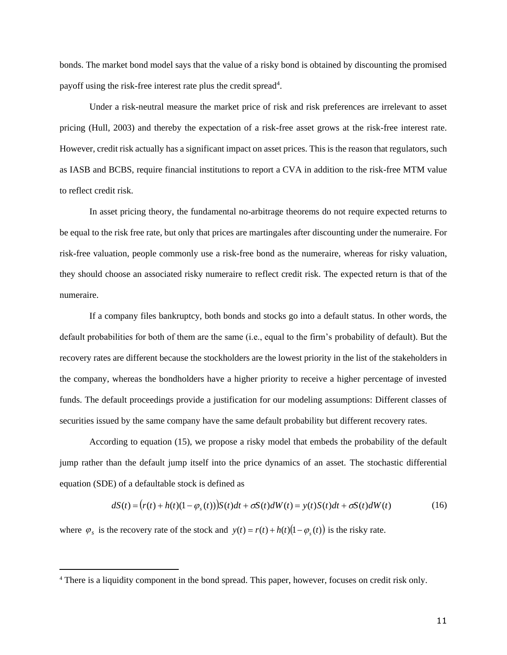bonds. The market bond model says that the value of a risky bond is obtained by discounting the promised payoff using the risk-free interest rate plus the credit spread<sup>4</sup>.

Under a risk-neutral measure the market price of risk and risk preferences are irrelevant to asset pricing (Hull, 2003) and thereby the expectation of a risk-free asset grows at the risk-free interest rate. However, credit risk actually has a significant impact on asset prices. This is the reason that regulators, such as IASB and BCBS, require financial institutions to report a CVA in addition to the risk-free MTM value to reflect credit risk.

In asset pricing theory, the fundamental no-arbitrage theorems do not require expected returns to be equal to the risk free rate, but only that prices are martingales after discounting under the numeraire. For risk-free valuation, people commonly use a risk-free bond as the numeraire, whereas for risky valuation, they should choose an associated risky numeraire to reflect credit risk. The expected return is that of the numeraire.

If a company files bankruptcy, both bonds and stocks go into a default status. In other words, the default probabilities for both of them are the same (i.e., equal to the firm's probability of default). But the recovery rates are different because the stockholders are the lowest priority in the list of the stakeholders in the company, whereas the bondholders have a higher priority to receive a higher percentage of invested funds. The default proceedings provide a justification for our modeling assumptions: Different classes of securities issued by the same company have the same default probability but different recovery rates.

According to equation (15), we propose a risky model that embeds the probability of the default jump rather than the default jump itself into the price dynamics of an asset. The stochastic differential equation (SDE) of a defaultable stock is defined as

$$
dS(t) = (r(t) + h(t)(1 - \varphi_s(t)))S(t)dt + \sigma S(t)dW(t) = y(t)S(t)dt + \sigma S(t)dW(t)
$$
\n(16)

where  $\varphi_s$  is the recovery rate of the stock and  $y(t) = r(t) + h(t)(1 - \varphi_s(t))$  is the risky rate.

<sup>&</sup>lt;sup>4</sup> There is a liquidity component in the bond spread. This paper, however, focuses on credit risk only.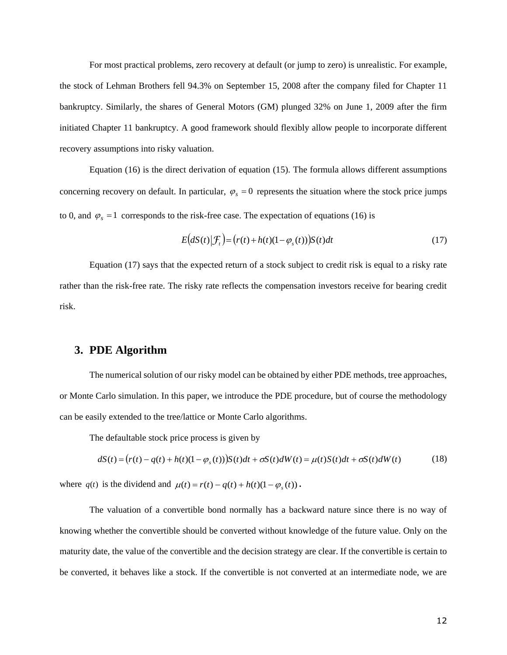For most practical problems, zero recovery at default (or jump to zero) is unrealistic. For example, the stock of Lehman Brothers fell 94.3% on September 15, 2008 after the company filed for Chapter 11 bankruptcy. Similarly, the shares of General Motors (GM) plunged 32% on June 1, 2009 after the firm initiated Chapter 11 bankruptcy. A good framework should flexibly allow people to incorporate different recovery assumptions into risky valuation.

Equation (16) is the direct derivation of equation (15). The formula allows different assumptions concerning recovery on default. In particular,  $\varphi_s = 0$  represents the situation where the stock price jumps to 0, and  $\varphi_s = 1$  corresponds to the risk-free case. The expectation of equations (16) is

$$
E\big(dS(t)\big|\mathcal{F}_t\big) = \big(r(t) + h(t)(1 - \varphi_s(t))\big)S(t)dt\tag{17}
$$

Equation (17) says that the expected return of a stock subject to credit risk is equal to a risky rate rather than the risk-free rate. The risky rate reflects the compensation investors receive for bearing credit risk.

# **3. PDE Algorithm**

The numerical solution of our risky model can be obtained by either PDE methods, tree approaches, or Monte Carlo simulation. In this paper, we introduce the PDE procedure, but of course the methodology can be easily extended to the tree/lattice or Monte Carlo algorithms.

The defaultable stock price process is given by

$$
dS(t) = (r(t) - q(t) + h(t)(1 - \varphi_s(t)))S(t)dt + \sigma S(t)dW(t) = \mu(t)S(t)dt + \sigma S(t)dW(t)
$$
\n(18)

where  $q(t)$  is the dividend and  $\mu(t) = r(t) - q(t) + h(t)(1 - \varphi_s(t))$ .

The valuation of a convertible bond normally has a backward nature since there is no way of knowing whether the convertible should be converted without knowledge of the future value. Only on the maturity date, the value of the convertible and the decision strategy are clear. If the convertible is certain to be converted, it behaves like a stock. If the convertible is not converted at an intermediate node, we are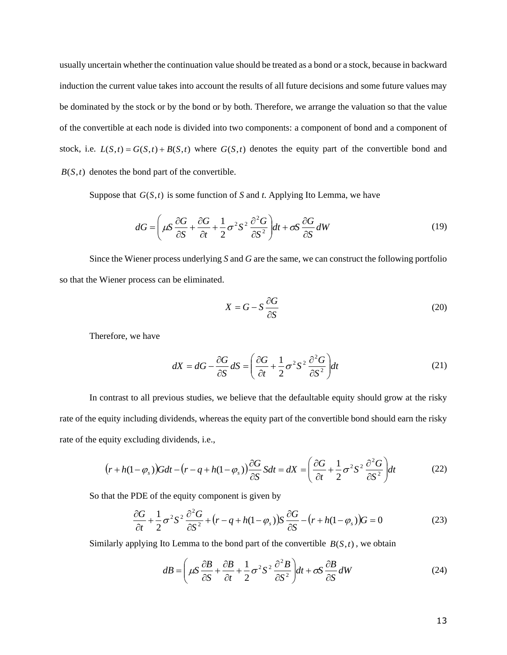usually uncertain whether the continuation value should be treated as a bond or a stock, because in backward induction the current value takes into account the results of all future decisions and some future values may be dominated by the stock or by the bond or by both. Therefore, we arrange the valuation so that the value of the convertible at each node is divided into two components: a component of bond and a component of stock, i.e.  $L(S,t) = G(S,t) + B(S,t)$  where  $G(S,t)$  denotes the equity part of the convertible bond and  $B(S,t)$  denotes the bond part of the convertible.

Suppose that  $G(S, t)$  is some function of S and t. Applying Ito Lemma, we have

$$
dG = \left(\mu \frac{\partial G}{\partial S} + \frac{\partial G}{\partial t} + \frac{1}{2}\sigma^2 S^2 \frac{\partial^2 G}{\partial S^2}\right)dt + \sigma S \frac{\partial G}{\partial S} dW\tag{19}
$$

Since the Wiener process underlying *S* and *G* are the same, we can construct the following portfolio so that the Wiener process can be eliminated.

$$
X = G - S \frac{\partial G}{\partial S} \tag{20}
$$

Therefore, we have

$$
dX = dG - \frac{\partial G}{\partial S} dS = \left(\frac{\partial G}{\partial t} + \frac{1}{2}\sigma^2 S^2 \frac{\partial^2 G}{\partial S^2}\right) dt
$$
 (21)

In contrast to all previous studies, we believe that the defaultable equity should grow at the risky rate of the equity including dividends, whereas the equity part of the convertible bond should earn the risky rate of the equity excluding dividends, i.e.,

$$
(r + h(1 - \varphi_s))Gdt - (r - q + h(1 - \varphi_s))\frac{\partial G}{\partial S}Sdt = dX = \left(\frac{\partial G}{\partial t} + \frac{1}{2}\sigma^2 S^2 \frac{\partial^2 G}{\partial S^2}\right)dt
$$
 (22)

So that the PDE of the equity component is given by

$$
\frac{\partial G}{\partial t} + \frac{1}{2}\sigma^2 S^2 \frac{\partial^2 G}{\partial S^2} + (r - q + h(1 - \varphi_s))S \frac{\partial G}{\partial S} - (r + h(1 - \varphi_s))G = 0
$$
\n(23)

Similarly applying Ito Lemma to the bond part of the convertible  $B(S,t)$ , we obtain

$$
dB = \left(\mu S \frac{\partial B}{\partial S} + \frac{\partial B}{\partial t} + \frac{1}{2} \sigma^2 S^2 \frac{\partial^2 B}{\partial S^2}\right) dt + \sigma S \frac{\partial B}{\partial S} dW\tag{24}
$$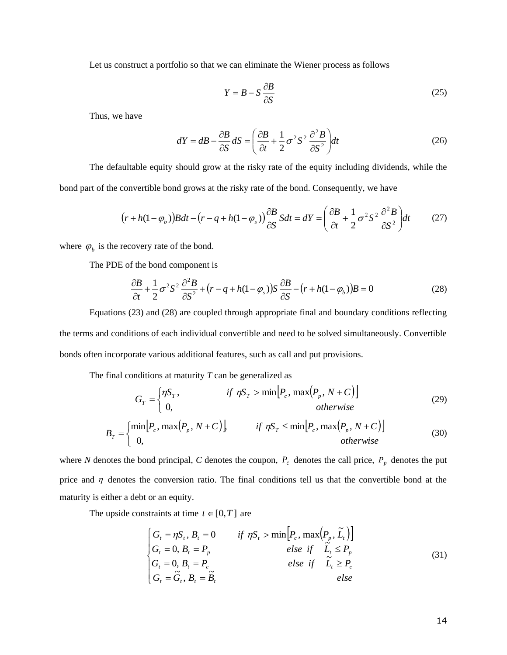Let us construct a portfolio so that we can eliminate the Wiener process as follows

$$
Y = B - S \frac{\partial B}{\partial S} \tag{25}
$$

Thus, we have

$$
dY = dB - \frac{\partial B}{\partial S} dS = \left(\frac{\partial B}{\partial t} + \frac{1}{2}\sigma^2 S^2 \frac{\partial^2 B}{\partial S^2}\right) dt
$$
 (26)

The defaultable equity should grow at the risky rate of the equity including dividends, while the bond part of the convertible bond grows at the risky rate of the bond. Consequently, we have

$$
(r + h(1 - \varphi_b))Bdt - (r - q + h(1 - \varphi_s))\frac{\partial B}{\partial S}Sdt = dY = \left(\frac{\partial B}{\partial t} + \frac{1}{2}\sigma^2 S^2 \frac{\partial^2 B}{\partial S^2}\right)dt
$$
 (27)

where  $\varphi_b$  is the recovery rate of the bond.

The PDE of the bond component is

$$
\frac{\partial B}{\partial t} + \frac{1}{2}\sigma^2 S^2 \frac{\partial^2 B}{\partial S^2} + (r - q + h(1 - \varphi_s))S \frac{\partial B}{\partial S} - (r + h(1 - \varphi_b))B = 0
$$
\n(28)

Equations (23) and (28) are coupled through appropriate final and boundary conditions reflecting the terms and conditions of each individual convertible and need to be solved simultaneously. Convertible bonds often incorporate various additional features, such as call and put provisions.

The final conditions at maturity *T* can be generalized as

$$
G_T = \begin{cases} \eta S_T, & \text{if } \eta S_T > \min[P_c, \max(P_p, N + C)] \\ 0, & \text{otherwise} \end{cases}
$$
(29)

$$
B_T = \begin{cases} \min[P_c, \max(P_p, N + C)] & \text{if } \eta S_T \le \min[P_c, \max(P_p, N + C)] \\ 0, & \text{otherwise} \end{cases}
$$
(30)

where N denotes the bond principal, C denotes the coupon,  $P_c$  denotes the call price,  $P_p$  denotes the put price and  $\eta$  denotes the conversion ratio. The final conditions tell us that the convertible bond at the maturity is either a debt or an equity.

The upside constraints at time  $t \in [0, T]$  are

$$
\begin{cases}\nG_t = \eta S_t, B_t = 0 & \text{if } \eta S_t > \min[P_c, \max(P_p, \tilde{L}_t)] \\
G_t = 0, B_t = P_p & \text{else if } \tilde{L}_t \le P_p \\
G_t = 0, B_t = P_c & \text{else if } \tilde{L}_t \ge P_c \\
G_t = \tilde{G}_t, B_t = \tilde{B}_t & \text{else}\n\end{cases}
$$
\n(31)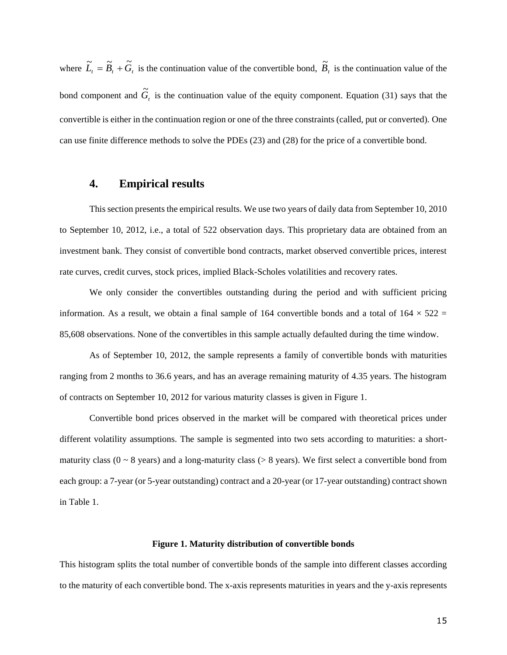where  $\tilde{L}_t = \tilde{B}_t + \tilde{G}_t$  is the continuation value of the convertible bond,  $\tilde{B}_t$  is the continuation value of the bond component and  $\tilde{G}_t$  is the continuation value of the equity component. Equation (31) says that the convertible is either in the continuation region or one of the three constraints (called, put or converted). One can use finite difference methods to solve the PDEs (23) and (28) for the price of a convertible bond.

# **4. Empirical results**

This section presents the empirical results. We use two years of daily data from September 10, 2010 to September 10, 2012, i.e., a total of 522 observation days. This proprietary data are obtained from an investment bank. They consist of convertible bond contracts, market observed convertible prices, interest rate curves, credit curves, stock prices, implied Black-Scholes volatilities and recovery rates.

We only consider the convertibles outstanding during the period and with sufficient pricing information. As a result, we obtain a final sample of 164 convertible bonds and a total of  $164 \times 522 =$ 85,608 observations. None of the convertibles in this sample actually defaulted during the time window.

As of September 10, 2012, the sample represents a family of convertible bonds with maturities ranging from 2 months to 36.6 years, and has an average remaining maturity of 4.35 years. The histogram of contracts on September 10, 2012 for various maturity classes is given in Figure 1.

Convertible bond prices observed in the market will be compared with theoretical prices under different volatility assumptions. The sample is segmented into two sets according to maturities: a shortmaturity class ( $0 \sim 8$  years) and a long-maturity class ( $> 8$  years). We first select a convertible bond from each group: a 7-year (or 5-year outstanding) contract and a 20-year (or 17-year outstanding) contract shown in Table 1.

#### **Figure 1. Maturity distribution of convertible bonds**

This histogram splits the total number of convertible bonds of the sample into different classes according to the maturity of each convertible bond. The x-axis represents maturities in years and the y-axis represents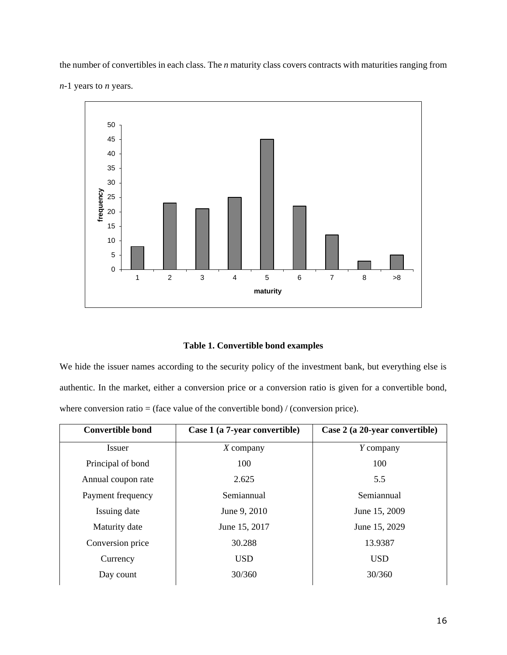the number of convertibles in each class. The *n* maturity class covers contracts with maturities ranging from *n-*1 years to *n* years.



## **Table 1. Convertible bond examples**

We hide the issuer names according to the security policy of the investment bank, but everything else is authentic. In the market, either a conversion price or a conversion ratio is given for a convertible bond, where conversion ratio = (face value of the convertible bond) / (conversion price).

| <b>Convertible bond</b> | Case 1 (a 7-year convertible) | Case 2 (a 20-year convertible) |
|-------------------------|-------------------------------|--------------------------------|
| <b>Issuer</b>           | $X$ company                   | $Y$ company                    |
| Principal of bond       | 100                           | 100                            |
| Annual coupon rate      | 2.625                         | 5.5                            |
| Payment frequency       | Semiannual                    | Semiannual                     |
| Issuing date            | June 9, 2010                  | June 15, 2009                  |
| Maturity date           | June 15, 2017                 | June 15, 2029                  |
| Conversion price        | 30.288                        | 13.9387                        |
| Currency                | <b>USD</b>                    | <b>USD</b>                     |
| Day count               | 30/360                        | 30/360                         |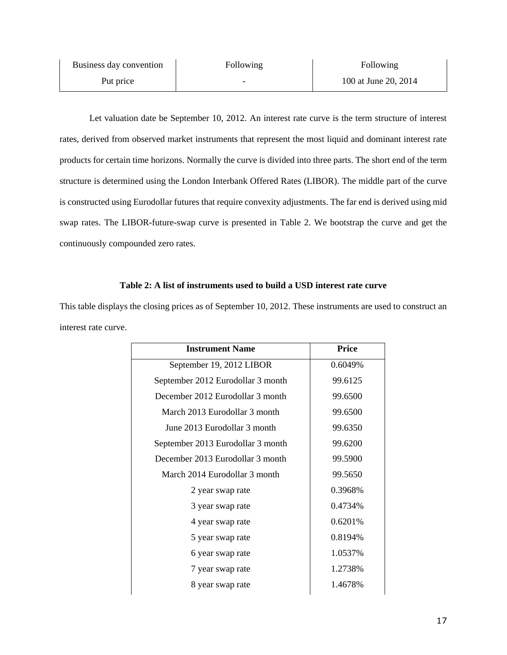| Business day convention | Following | Following            |
|-------------------------|-----------|----------------------|
| Put price               |           | 100 at June 20, 2014 |

Let valuation date be September 10, 2012. An interest rate curve is the term structure of interest rates, derived from observed market instruments that represent the most liquid and dominant interest rate products for certain time horizons. Normally the curve is divided into three parts. The short end of the term structure is determined using the London Interbank Offered Rates (LIBOR). The middle part of the curve is constructed using Eurodollar futures that require convexity adjustments. The far end is derived using mid swap rates. The LIBOR-future-swap curve is presented in Table 2. We bootstrap the curve and get the continuously compounded zero rates.

#### **Table 2: A list of instruments used to build a USD interest rate curve**

This table displays the closing prices as of September 10, 2012. These instruments are used to construct an interest rate curve.

| <b>Instrument Name</b>            | <b>Price</b> |
|-----------------------------------|--------------|
| September 19, 2012 LIBOR          | 0.6049%      |
| September 2012 Eurodollar 3 month | 99.6125      |
| December 2012 Eurodollar 3 month  | 99.6500      |
| March 2013 Eurodollar 3 month     | 99.6500      |
| June 2013 Eurodollar 3 month      | 99.6350      |
| September 2013 Eurodollar 3 month | 99.6200      |
| December 2013 Eurodollar 3 month  | 99.5900      |
| March 2014 Eurodollar 3 month     | 99.5650      |
| 2 year swap rate                  | 0.3968%      |
| 3 year swap rate                  | 0.4734%      |
| 4 year swap rate                  | 0.6201%      |
| 5 year swap rate                  | 0.8194%      |
| 6 year swap rate                  | 1.0537%      |
| 7 year swap rate                  | 1.2738%      |
| 8 year swap rate                  | 1.4678%      |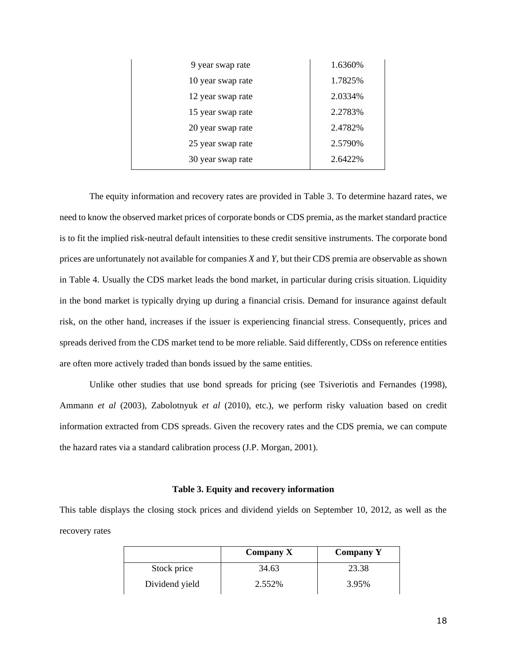| 9 year swap rate  | 1.6360%  |
|-------------------|----------|
| 10 year swap rate | 1.7825%  |
| 12 year swap rate | 2.0334\% |
| 15 year swap rate | 2.2783%  |
| 20 year swap rate | 2.4782%  |
| 25 year swap rate | 2.5790\% |
| 30 year swap rate | 2.6422%  |
|                   |          |

The equity information and recovery rates are provided in Table 3. To determine hazard rates, we need to know the observed market prices of corporate bonds or CDS premia, as the market standard practice is to fit the implied risk-neutral default intensities to these credit sensitive instruments. The corporate bond prices are unfortunately not available for companies *X* and *Y*, but their CDS premia are observable as shown in Table 4. Usually the CDS market leads the bond market, in particular during crisis situation. Liquidity in the bond market is typically drying up during a financial crisis. Demand for insurance against default risk, on the other hand, increases if the issuer is experiencing financial stress. Consequently, prices and spreads derived from the CDS market tend to be more reliable. Said differently, CDSs on reference entities are often more actively traded than bonds issued by the same entities.

Unlike other studies that use bond spreads for pricing (see Tsiveriotis and Fernandes (1998), Ammann *et al* (2003), Zabolotnyuk *et al* (2010), etc.), we perform risky valuation based on credit information extracted from CDS spreads. Given the recovery rates and the CDS premia, we can compute the hazard rates via a standard calibration process (J.P. Morgan, 2001).

#### **Table 3. Equity and recovery information**

This table displays the closing stock prices and dividend yields on September 10, 2012, as well as the recovery rates

|                | Company $X$ |       |
|----------------|-------------|-------|
| Stock price    | 34.63       | 23.38 |
| Dividend yield | 2.552%      | 3.95% |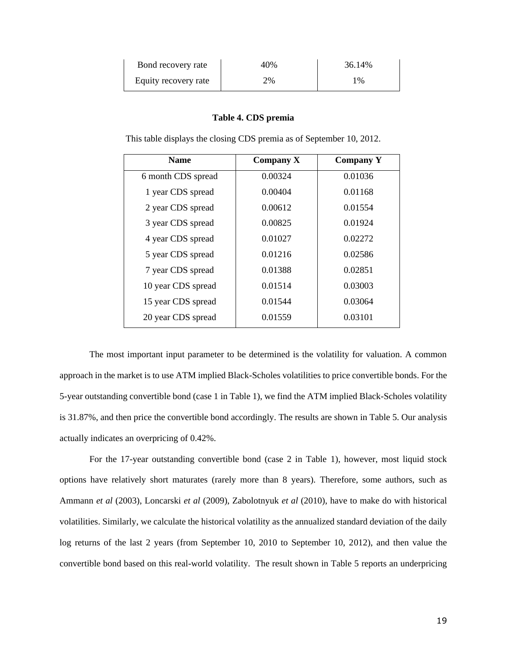| Bond recovery rate   | 40% | 36.14% |
|----------------------|-----|--------|
| Equity recovery rate | 2%  | 1%     |

#### **Table 4. CDS premia**

This table displays the closing CDS premia as of September 10, 2012.

| <b>Name</b>        | <b>Company X</b> | <b>Company Y</b> |
|--------------------|------------------|------------------|
| 6 month CDS spread | 0.00324          | 0.01036          |
| 1 year CDS spread  | 0.00404          | 0.01168          |
| 2 year CDS spread  | 0.00612          | 0.01554          |
| 3 year CDS spread  | 0.00825          | 0.01924          |
| 4 year CDS spread  | 0.01027          | 0.02272          |
| 5 year CDS spread  | 0.01216          | 0.02586          |
| 7 year CDS spread  | 0.01388          | 0.02851          |
| 10 year CDS spread | 0.01514          | 0.03003          |
| 15 year CDS spread | 0.01544          | 0.03064          |
| 20 year CDS spread | 0.01559          | 0.03101          |

The most important input parameter to be determined is the volatility for valuation. A common approach in the market is to use ATM implied Black-Scholes volatilities to price convertible bonds. For the 5-year outstanding convertible bond (case 1 in Table 1), we find the ATM implied Black-Scholes volatility is 31.87%, and then price the convertible bond accordingly. The results are shown in Table 5. Our analysis actually indicates an overpricing of 0.42%.

For the 17-year outstanding convertible bond (case 2 in Table 1), however, most liquid stock options have relatively short maturates (rarely more than 8 years). Therefore, some authors, such as Ammann *et al* (2003), Loncarski *et al* (2009), Zabolotnyuk *et al* (2010), have to make do with historical volatilities. Similarly, we calculate the historical volatility as the annualized standard deviation of the daily log returns of the last 2 years (from September 10, 2010 to September 10, 2012), and then value the convertible bond based on this real-world volatility. The result shown in Table 5 reports an underpricing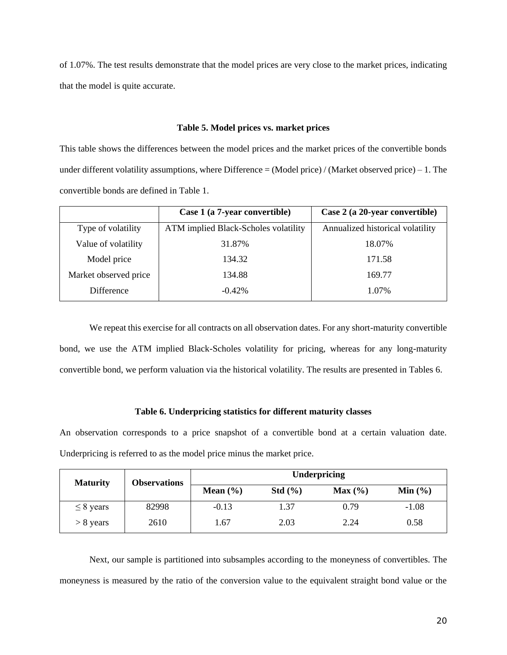of 1.07%. The test results demonstrate that the model prices are very close to the market prices, indicating that the model is quite accurate.

#### **Table 5. Model prices vs. market prices**

This table shows the differences between the model prices and the market prices of the convertible bonds under different volatility assumptions, where Difference =  $(Model)$  price) /  $(Market)$  observed price) – 1. The convertible bonds are defined in Table 1.

|                       | Case 1 (a 7-year convertible)        | Case 2 (a 20-year convertible)   |  |
|-----------------------|--------------------------------------|----------------------------------|--|
| Type of volatility    | ATM implied Black-Scholes volatility | Annualized historical volatility |  |
| Value of volatility   | 31.87%                               | 18.07%                           |  |
| Model price           | 134.32                               | 171.58                           |  |
| Market observed price | 134.88                               | 169.77                           |  |
| <b>Difference</b>     | $-0.42\%$                            | 1.07%                            |  |

We repeat this exercise for all contracts on all observation dates. For any short-maturity convertible bond, we use the ATM implied Black-Scholes volatility for pricing, whereas for any long-maturity convertible bond, we perform valuation via the historical volatility. The results are presented in Tables 6.

#### **Table 6. Underpricing statistics for different maturity classes**

An observation corresponds to a price snapshot of a convertible bond at a certain valuation date. Underpricing is referred to as the model price minus the market price.

| <b>Maturity</b><br><b>Observations</b> |       | Underpricing                |      |        |             |
|----------------------------------------|-------|-----------------------------|------|--------|-------------|
|                                        |       | Mean $(\% )$<br>Std $(\% )$ |      | Max(%) | Min $(\% )$ |
| $\leq$ 8 years                         | 82998 | $-0.13$                     | 1.37 | 0.79   | $-1.08$     |
| $> 8$ years                            | 2610  | 1.67                        | 2.03 | 2.24   | 0.58        |

Next, our sample is partitioned into subsamples according to the moneyness of convertibles. The moneyness is measured by the ratio of the conversion value to the equivalent straight bond value or the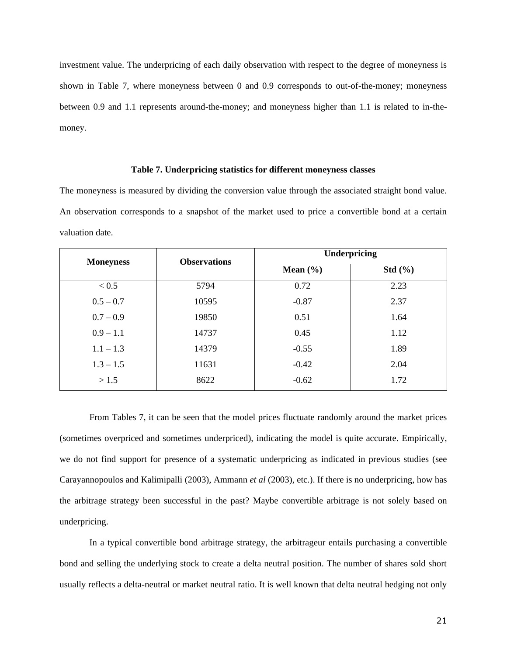investment value. The underpricing of each daily observation with respect to the degree of moneyness is shown in Table 7, where moneyness between 0 and 0.9 corresponds to out-of-the-money; moneyness between 0.9 and 1.1 represents around-the-money; and moneyness higher than 1.1 is related to in-themoney.

#### **Table 7. Underpricing statistics for different moneyness classes**

The moneyness is measured by dividing the conversion value through the associated straight bond value. An observation corresponds to a snapshot of the market used to price a convertible bond at a certain valuation date.

| <b>Moneyness</b> | <b>Observations</b> | Underpricing |             |  |
|------------------|---------------------|--------------|-------------|--|
|                  |                     | Mean $(\% )$ | Std $(\% )$ |  |
| < 0.5            | 5794                | 0.72         | 2.23        |  |
| $0.5 - 0.7$      | 10595               | $-0.87$      | 2.37        |  |
| $0.7 - 0.9$      | 19850               | 0.51         | 1.64        |  |
| $0.9 - 1.1$      | 14737               | 0.45         | 1.12        |  |
| $1.1 - 1.3$      | 14379               | $-0.55$      | 1.89        |  |
| $1.3 - 1.5$      | 11631               | $-0.42$      | 2.04        |  |
| >1.5             | 8622                | $-0.62$      | 1.72        |  |

From Tables 7, it can be seen that the model prices fluctuate randomly around the market prices (sometimes overpriced and sometimes underpriced), indicating the model is quite accurate. Empirically, we do not find support for presence of a systematic underpricing as indicated in previous studies (see Carayannopoulos and Kalimipalli (2003), Ammann *et al* (2003), etc.). If there is no underpricing, how has the arbitrage strategy been successful in the past? Maybe convertible arbitrage is not solely based on underpricing.

In a typical convertible bond arbitrage strategy, the arbitrageur entails purchasing a convertible bond and selling the underlying stock to create a delta neutral position. The number of shares sold short usually reflects a delta-neutral or market neutral ratio. It is well known that delta neutral hedging not only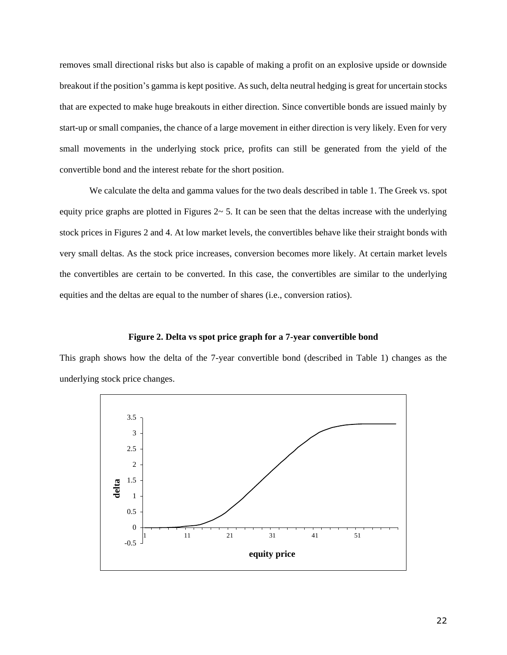removes small directional risks but also is capable of making a profit on an explosive upside or downside breakout if the position's gamma is kept positive. As such, delta neutral hedging is great for uncertain stocks that are expected to make huge breakouts in either direction. Since convertible bonds are issued mainly by start-up or small companies, the chance of a large movement in either direction is very likely. Even for very small movements in the underlying stock price, profits can still be generated from the yield of the convertible bond and the interest rebate for the short position.

We calculate the delta and gamma values for the two deals described in table 1. The Greek vs. spot equity price graphs are plotted in Figures  $2 \sim 5$ . It can be seen that the deltas increase with the underlying stock prices in Figures 2 and 4. At low market levels, the convertibles behave like their straight bonds with very small deltas. As the stock price increases, conversion becomes more likely. At certain market levels the convertibles are certain to be converted. In this case, the convertibles are similar to the underlying equities and the deltas are equal to the number of shares (i.e., conversion ratios).

#### **Figure 2. Delta vs spot price graph for a 7-year convertible bond**

This graph shows how the delta of the 7-year convertible bond (described in Table 1) changes as the underlying stock price changes.

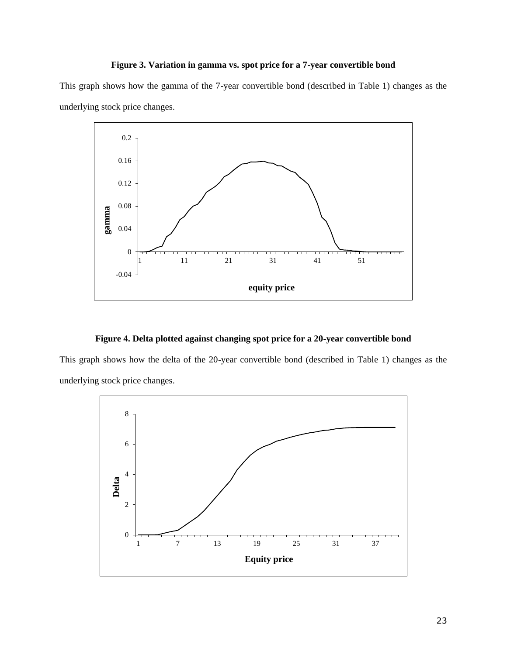## **Figure 3. Variation in gamma vs. spot price for a 7-year convertible bond**



This graph shows how the gamma of the 7-year convertible bond (described in Table 1) changes as the underlying stock price changes.



This graph shows how the delta of the 20-year convertible bond (described in Table 1) changes as the underlying stock price changes.

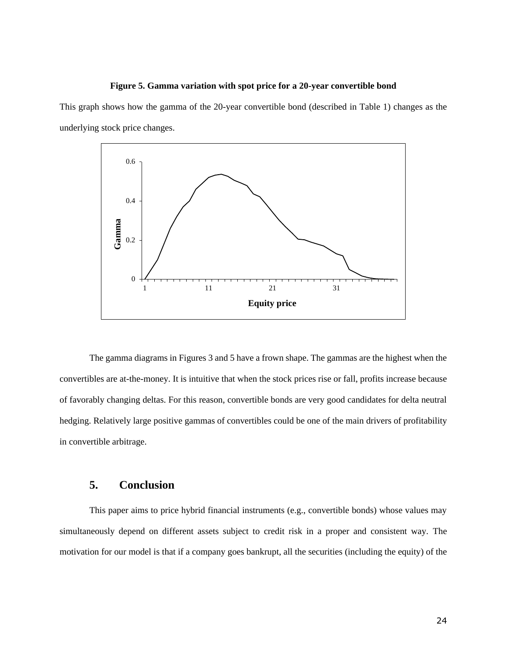#### **Figure 5. Gamma variation with spot price for a 20-year convertible bond**

This graph shows how the gamma of the 20-year convertible bond (described in Table 1) changes as the underlying stock price changes.



The gamma diagrams in Figures 3 and 5 have a frown shape. The gammas are the highest when the convertibles are at-the-money. It is intuitive that when the stock prices rise or fall, profits increase because of favorably changing deltas. For this reason, convertible bonds are very good candidates for delta neutral hedging. Relatively large positive gammas of convertibles could be one of the main drivers of profitability in convertible arbitrage.

# **5. Conclusion**

This paper aims to price hybrid financial instruments (e.g., convertible bonds) whose values may simultaneously depend on different assets subject to credit risk in a proper and consistent way. The motivation for our model is that if a company goes bankrupt, all the securities (including the equity) of the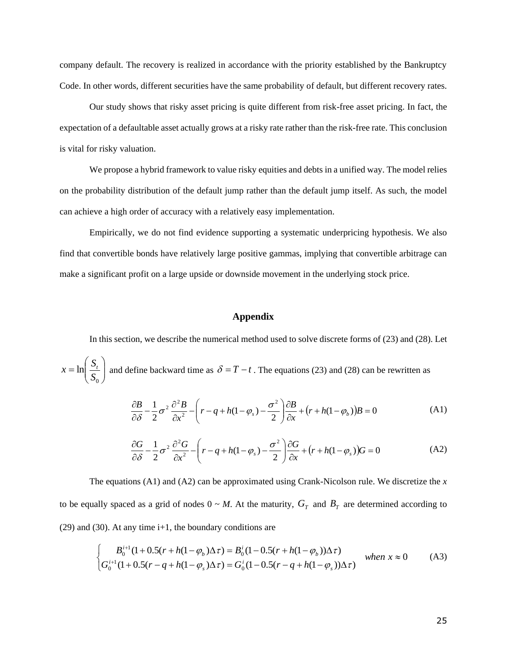company default. The recovery is realized in accordance with the priority established by the Bankruptcy Code. In other words, different securities have the same probability of default, but different recovery rates.

Our study shows that risky asset pricing is quite different from risk-free asset pricing. In fact, the expectation of a defaultable asset actually grows at a risky rate rather than the risk-free rate. This conclusion is vital for risky valuation.

We propose a hybrid framework to value risky equities and debts in a unified way. The model relies on the probability distribution of the default jump rather than the default jump itself. As such, the model can achieve a high order of accuracy with a relatively easy implementation.

Empirically, we do not find evidence supporting a systematic underpricing hypothesis. We also find that convertible bonds have relatively large positive gammas, implying that convertible arbitrage can make a significant profit on a large upside or downside movement in the underlying stock price.

#### **Appendix**

In this section, we describe the numerical method used to solve discrete forms of (23) and (28). Let

 $\overline{\phantom{a}}$  $\bigg)$  $\backslash$  $\overline{\phantom{a}}$  $\setminus$ ſ = 0 ln *S*  $x = \ln\left(\frac{S_t}{s}\right)$  and define backward time as  $\delta = T - t$ . The equations (23) and (28) can be rewritten as

$$
\frac{\partial B}{\partial \delta} - \frac{1}{2} \sigma^2 \frac{\partial^2 B}{\partial x^2} - \left( r - q + h(1 - \varphi_s) - \frac{\sigma^2}{2} \right) \frac{\partial B}{\partial x} + \left( r + h(1 - \varphi_b) \right) B = 0 \tag{A1}
$$

$$
\frac{\partial G}{\partial \delta} - \frac{1}{2} \sigma^2 \frac{\partial^2 G}{\partial x^2} - \left( r - q + h(1 - \varphi_s) - \frac{\sigma^2}{2} \right) \frac{\partial G}{\partial x} + \left( r + h(1 - \varphi_s) \right) G = 0 \tag{A2}
$$

The equations (A1) and (A2) can be approximated using Crank-Nicolson rule. We discretize the *x* to be equally spaced as a grid of nodes  $0 \sim M$ . At the maturity,  $G_T$  and  $B_T$  are determined according to (29) and (30). At any time  $i+1$ , the boundary conditions are

$$
\begin{cases}\nB_0^{i+1}(1+0.5(r+h(1-\varphi_b)\Delta \tau) = B_0^i(1-0.5(r+h(1-\varphi_b))\Delta \tau) \\
G_0^{i+1}(1+0.5(r-q+h(1-\varphi_s)\Delta \tau) = G_0^i(1-0.5(r-q+h(1-\varphi_s))\Delta \tau)\n\end{cases}
$$
 when  $x \approx 0$  (A3)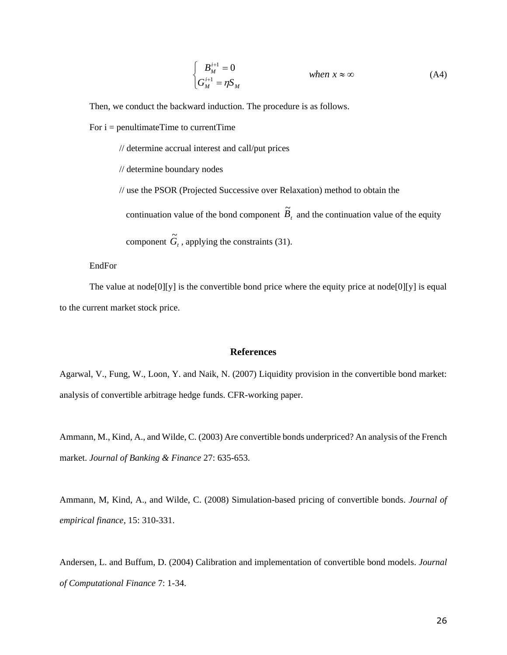$$
\begin{cases}\nB_M^{i+1} = 0 & \text{when } x \approx \infty \\
G_M^{i+1} = \eta S_M\n\end{cases} \tag{A4}
$$

Then, we conduct the backward induction. The procedure is as follows.

For  $i =$  penultimate Time to current Time

// determine accrual interest and call/put prices

// determine boundary nodes

// use the PSOR (Projected Successive over Relaxation) method to obtain the

continuation value of the bond component  $\tilde{B}_t$  and the continuation value of the equity

component  $\tilde{G}_t$ , applying the constraints (31).

EndFor

The value at node $[0][y]$  is the convertible bond price where the equity price at node $[0][y]$  is equal to the current market stock price.

#### **References**

Agarwal, V., Fung, W., Loon, Y. and Naik, N. (2007) Liquidity provision in the convertible bond market: analysis of convertible arbitrage hedge funds. CFR-working paper.

Ammann, M., Kind, A., and Wilde, C. (2003) Are convertible bonds underpriced? An analysis of the French market. *Journal of Banking & Finance* 27: 635-653.

Ammann, M, Kind, A., and Wilde, C. (2008) Simulation-based pricing of convertible bonds. *Journal of empirical finance*, 15: 310-331.

Andersen, L. and Buffum, D. (2004) Calibration and implementation of convertible bond models. *Journal of Computational Finance* 7: 1-34.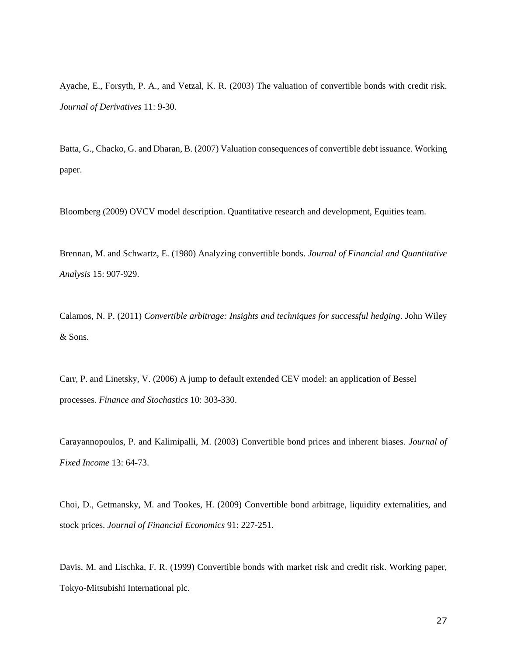Ayache, E., Forsyth, P. A., and Vetzal, K. R. (2003) The valuation of convertible bonds with credit risk. *Journal of Derivatives* 11: 9-30.

Batta, G., Chacko, G. and Dharan, B. (2007) Valuation consequences of convertible debt issuance. Working paper.

Bloomberg (2009) OVCV model description. Quantitative research and development, Equities team.

Brennan, M. and Schwartz, E. (1980) Analyzing convertible bonds. *Journal of Financial and Quantitative Analysis* 15: 907-929.

Calamos, N. P. (2011) *Convertible arbitrage: Insights and techniques for successful hedging*. John Wiley & Sons.

Carr, P. and Linetsky, V. (2006) A jump to default extended CEV model: an application of Bessel processes. *Finance and Stochastics* 10: 303-330.

Carayannopoulos, P. and Kalimipalli, M. (2003) Convertible bond prices and inherent biases. *Journal of Fixed Income* 13: 64-73.

Choi, D., Getmansky, M. and Tookes, H. (2009) Convertible bond arbitrage, liquidity externalities, and stock prices. *Journal of Financial Economics* 91: 227-251.

Davis, M. and Lischka, F. R. (1999) Convertible bonds with market risk and credit risk. Working paper, Tokyo-Mitsubishi International plc.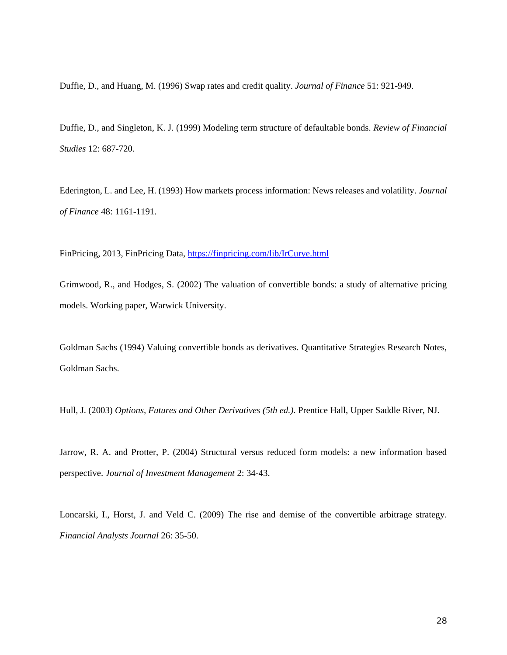Duffie, D., and Huang, M. (1996) Swap rates and credit quality. *Journal of Finance* 51: 921-949.

Duffie, D., and Singleton, K. J. (1999) Modeling term structure of defaultable bonds. *Review of Financial Studies* 12: 687-720.

Ederington, L. and Lee, H. (1993) How markets process information: News releases and volatility. *Journal of Finance* 48: 1161-1191.

FinPricing, 2013, FinPricing Data, [https://finpricing.com/lib/IrCurve.html](https://finpricing.com/lib/FxVolIntroduction.html)

Grimwood, R., and Hodges, S. (2002) The valuation of convertible bonds: a study of alternative pricing models. Working paper, Warwick University.

Goldman Sachs (1994) Valuing convertible bonds as derivatives. Quantitative Strategies Research Notes, Goldman Sachs.

Hull, J. (2003) *Options, Futures and Other Derivatives (5th ed.)*. Prentice Hall, Upper Saddle River, NJ.

Jarrow, R. A. and Protter, P. (2004) Structural versus reduced form models: a new information based perspective. *Journal of Investment Management* 2: 34-43.

Loncarski, I., Horst, J. and Veld C. (2009) The rise and demise of the convertible arbitrage strategy. *Financial Analysts Journal* 26: 35-50.